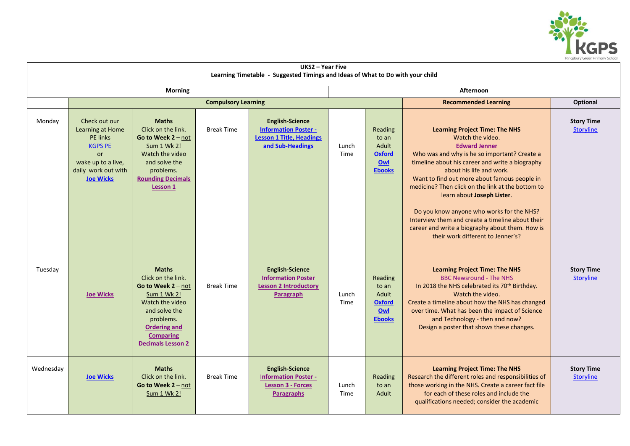

| <b>UKS2 - Year Five</b><br>Learning Timetable - Suggested Timings and Ideas of What to Do with your child |                                                                                                                                                      |                                                                                                                                                                                                   |                   |                                                                                                              |               |                                                                    |                                                                                                                                                                                                                                                                                                                                                                                                                                                                                                                                              |                                       |  |  |
|-----------------------------------------------------------------------------------------------------------|------------------------------------------------------------------------------------------------------------------------------------------------------|---------------------------------------------------------------------------------------------------------------------------------------------------------------------------------------------------|-------------------|--------------------------------------------------------------------------------------------------------------|---------------|--------------------------------------------------------------------|----------------------------------------------------------------------------------------------------------------------------------------------------------------------------------------------------------------------------------------------------------------------------------------------------------------------------------------------------------------------------------------------------------------------------------------------------------------------------------------------------------------------------------------------|---------------------------------------|--|--|
| <b>Morning</b>                                                                                            |                                                                                                                                                      |                                                                                                                                                                                                   |                   |                                                                                                              |               | Afternoon                                                          |                                                                                                                                                                                                                                                                                                                                                                                                                                                                                                                                              |                                       |  |  |
|                                                                                                           | <b>Compulsory Learning</b>                                                                                                                           |                                                                                                                                                                                                   |                   |                                                                                                              |               |                                                                    | <b>Recommended Learning</b>                                                                                                                                                                                                                                                                                                                                                                                                                                                                                                                  | Optional                              |  |  |
| Monday                                                                                                    | Check out our<br>Learning at Home<br><b>PE</b> links<br><b>KGPS PE</b><br><b>or</b><br>wake up to a live,<br>daily work out with<br><b>Joe Wicks</b> | <b>Maths</b><br>Click on the link.<br>Go to Week $2 - not$<br>Sum 1 Wk 2!<br>Watch the video<br>and solve the<br>problems.<br><b>Rounding Decimals</b><br>Lesson 1                                | <b>Break Time</b> | <b>English-Science</b><br><b>Information Poster -</b><br><b>Lesson 1 Title, Headings</b><br>and Sub-Headings | Lunch<br>Time | Reading<br>to an<br>Adult<br><b>Oxford</b><br>Owl<br><b>Ebooks</b> | <b>Learning Project Time: The NHS</b><br>Watch the video.<br><b>Edward Jenner</b><br>Who was and why is he so important? Create a<br>timeline about his career and write a biography<br>about his life and work.<br>Want to find out more about famous people in<br>medicine? Then click on the link at the bottom to<br>learn about Joseph Lister.<br>Do you know anyone who works for the NHS?<br>Interview them and create a timeline about their<br>career and write a biography about them. How is<br>their work different to Jenner's? | <b>Story Time</b><br>Storyline        |  |  |
| Tuesday                                                                                                   | <b>Joe Wicks</b>                                                                                                                                     | <b>Maths</b><br>Click on the link.<br>Go to Week $2 - not$<br>Sum 1 Wk 2!<br>Watch the video<br>and solve the<br>problems.<br><b>Ordering and</b><br><b>Comparing</b><br><b>Decimals Lesson 2</b> | <b>Break Time</b> | <b>English-Science</b><br><b>Information Poster</b><br><b>Lesson 2 Introductory</b><br>Paragraph             | Lunch<br>Time | Reading<br>to an<br>Adult<br><b>Oxford</b><br>Owl<br><b>Ebooks</b> | <b>Learning Project Time: The NHS</b><br><b>BBC Newsround - The NHS</b><br>In 2018 the NHS celebrated its 70 <sup>th</sup> Birthday.<br>Watch the video.<br>Create a timeline about how the NHS has changed<br>over time. What has been the impact of Science<br>and Technology - then and now?<br>Design a poster that shows these changes.                                                                                                                                                                                                 | <b>Story Time</b><br><b>Storyline</b> |  |  |
| Wednesday                                                                                                 | <b>Joe Wicks</b>                                                                                                                                     | <b>Maths</b><br>Click on the link.<br>Go to Week $2 - not$<br>Sum 1 Wk 2!                                                                                                                         | <b>Break Time</b> | <b>English-Science</b><br><b>Information Poster -</b><br><b>Lesson 3 - Forces</b><br>Paragraphs              | Lunch<br>Time | Reading<br>to an<br>Adult                                          | <b>Learning Project Time: The NHS</b><br>Research the different roles and responsibilities of<br>those working in the NHS. Create a career fact file<br>for each of these roles and include the<br>qualifications needed; consider the academic                                                                                                                                                                                                                                                                                              | <b>Story Time</b><br><b>Storyline</b> |  |  |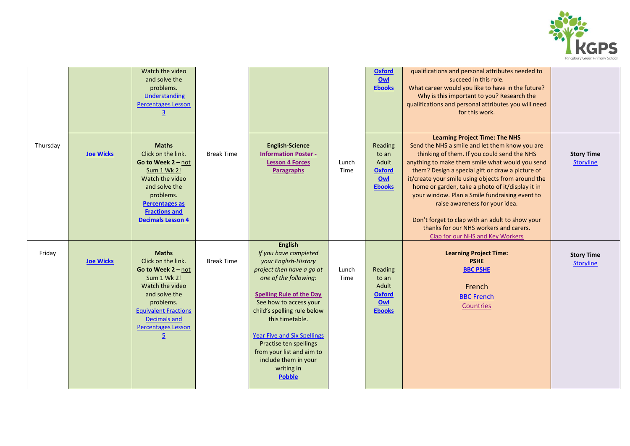

|          |                  | Watch the video<br>and solve the<br>problems.<br>Understanding<br><b>Percentages Lesson</b><br>$\overline{3}$                                                                                                          |                   |                                                                                                                                                                                                                                                                                                                                                                                          |               | <b>Oxford</b><br>OWI<br><b>Ebooks</b>                              | qualifications and personal attributes needed to<br>succeed in this role.<br>What career would you like to have in the future?<br>Why is this important to you? Research the<br>qualifications and personal attributes you will need<br>for this work.                                                                                                                                                                                                                                                                                                                       |                                       |
|----------|------------------|------------------------------------------------------------------------------------------------------------------------------------------------------------------------------------------------------------------------|-------------------|------------------------------------------------------------------------------------------------------------------------------------------------------------------------------------------------------------------------------------------------------------------------------------------------------------------------------------------------------------------------------------------|---------------|--------------------------------------------------------------------|------------------------------------------------------------------------------------------------------------------------------------------------------------------------------------------------------------------------------------------------------------------------------------------------------------------------------------------------------------------------------------------------------------------------------------------------------------------------------------------------------------------------------------------------------------------------------|---------------------------------------|
| Thursday | <b>Joe Wicks</b> | <b>Maths</b><br>Click on the link.<br>Go to Week $2 - not$<br>Sum 1 Wk 2!<br>Watch the video<br>and solve the<br>problems.<br><b>Percentages as</b><br><b>Fractions and</b><br><b>Decimals Lesson 4</b>                | <b>Break Time</b> | <b>English-Science</b><br><b>Information Poster -</b><br><b>Lesson 4 Forces</b><br><b>Paragraphs</b>                                                                                                                                                                                                                                                                                     | Lunch<br>Time | Reading<br>to an<br>Adult<br><b>Oxford</b><br>Owl<br><b>Ebooks</b> | <b>Learning Project Time: The NHS</b><br>Send the NHS a smile and let them know you are<br>thinking of them. If you could send the NHS<br>anything to make them smile what would you send<br>them? Design a special gift or draw a picture of<br>it/create your smile using objects from around the<br>home or garden, take a photo of it/display it in<br>your window. Plan a Smile fundraising event to<br>raise awareness for your idea.<br>Don't forget to clap with an adult to show your<br>thanks for our NHS workers and carers.<br>Clap for our NHS and Key Workers | <b>Story Time</b><br>Storyline        |
| Friday   | <b>Joe Wicks</b> | <b>Maths</b><br>Click on the link.<br>Go to Week 2 - not<br>Sum 1 Wk 2!<br>Watch the video<br>and solve the<br>problems.<br><b>Equivalent Fractions</b><br>Decimals and<br><b>Percentages Lesson</b><br>$\overline{5}$ | <b>Break Time</b> | <b>English</b><br>If you have completed<br>your English-History<br>project then have a go at<br>one of the following:<br><b>Spelling Rule of the Day</b><br>See how to access your<br>child's spelling rule below<br>this timetable.<br><b>Year Five and Six Spellings</b><br>Practise ten spellings<br>from your list and aim to<br>include them in your<br>writing in<br><b>Pobble</b> | Lunch<br>Time | Reading<br>to an<br>Adult<br><b>Oxford</b><br>Owl<br><b>Ebooks</b> | <b>Learning Project Time:</b><br><b>PSHE</b><br><b>BBC PSHE</b><br>French<br><b>BBC French</b><br>Countries                                                                                                                                                                                                                                                                                                                                                                                                                                                                  | <b>Story Time</b><br><b>Storyline</b> |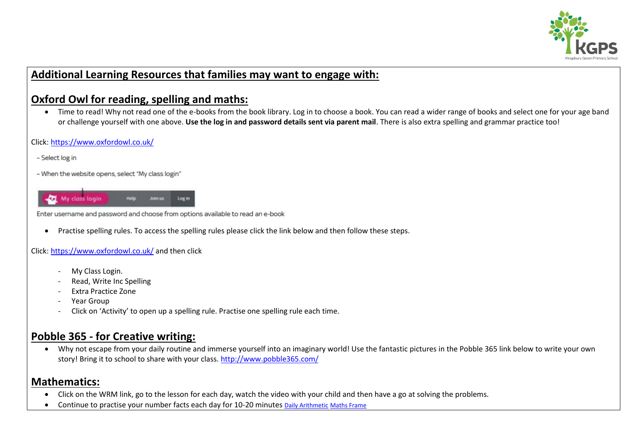

# **Additional Learning Resources that families may want to engage with:**

# **Oxford Owl for reading, spelling and maths:**

• Time to read! Why not read one of the e-books from the book library. Log in to choose a book. You can read a wider range of books and select one for your age band or challenge yourself with one above. **Use the log in and password details sent via parent mail**. There is also extra spelling and grammar practice too!

## Click[: https://www.oxfordowl.co.uk/](https://www.oxfordowl.co.uk/)

- Select log in
- When the website opens, select "My class login"



Enter username and password and choose from options available to read an e-book

Practise spelling rules. To access the spelling rules please click the link below and then follow these steps.

## Click[: https://www.oxfordowl.co.uk/](https://www.oxfordowl.co.uk/) and then click

- My Class Login.
- Read, Write Inc Spelling
- Extra Practice Zone
- Year Group
- Click on 'Activity' to open up a spelling rule. Practise one spelling rule each time.

## **Pobble 365 - for Creative writing:**

 Why not escape from your daily routine and immerse yourself into an imaginary world! Use the fantastic pictures in the Pobble 365 link below to write your own story! Bring it to school to share with your class.<http://www.pobble365.com/>

## **Mathematics:**

- Click on the WRM link, go to the lesson for each day, watch the video with your child and then have a go at solving the problems.
- Continue to practise your number facts each day for 10-20 minutes [Daily Arithmetic](https://www.topmarks.co.uk/maths-games/daily10) [Maths Frame](https://mathsframe.co.uk/)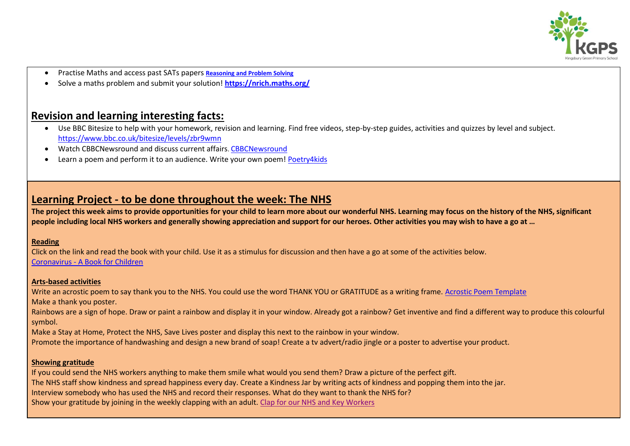

- Practise Maths and access past SATs papers **[Reasoning and Problem Solving](https://primarysite-prod-sorted.s3.amazonaws.com/springcroft-primary-school/UploadedDocument/915522a464444cfa96a70bc9bdaee45d/ultimate-ks2-maths-sats-organiser-y6-daily-mini-videos-puzzles-for-y5.pdf)**
- Solve a maths problem and submit your solution! **<https://nrich.maths.org/>**

# **Revision and learning interesting facts:**

- Use BBC Bitesize to help with your homework, revision and learning. Find free videos, step-by-step guides, activities and quizzes by level and subject. <https://www.bbc.co.uk/bitesize/levels/zbr9wmn>
- Watch [CBBCNewsround](https://www.bbc.co.uk/newsround) and discuss current affairs. CBBCNewsround
- Learn a poem and perform it to an audience. Write your own poem! [Poetry4kids](https://www.poetry4kids.com/)

## **Learning Project - to be done throughout the week: The NHS**

**The project this week aims to provide opportunities for your child to learn more about our wonderful NHS. Learning may focus on the history of the NHS, significant people including local NHS workers and generally showing appreciation and support for our heroes. Other activities you may wish to have a go at …**

#### **Reading**

Click on the link and read the book with your child. Use it as a stimulus for discussion and then have a go at some of the activities below. Coronavirus - [A Book for Children](https://issuu.com/nosycrow/docs/coronavirus_ins/1?ff&hideShareButton=true)

#### **Arts-based activities**

Write an acrostic poem to say thank you to the NHS. You could use the word THANK YOU or GRATITUDE as a writing frame[. Acrostic Poem Template](https://www.bing.com/images/search?view=detailV2&id=C51BEC593BA32E8A77231393BC665B72282D1370&thid=OIP.CLik4dpphakVhQR5vu7IYgHaFj&mediaurl=http%3A%2F%2Fimage.payloadz.com%2Fproducts%2F764301.png&exph=720&expw=960&q=thankyou+blank+acrostic+poem+template&selectedindex=23&ajaxhist=0&vt=0) Make a thank you poster.

Rainbows are a sign of hope. Draw or paint a rainbow and display it in your window. Already got a rainbow? Get inventive and find a different way to produce this colourful symbol.

Make a Stay at Home, Protect the NHS, Save Lives poster and display this next to the rainbow in your window.

Promote the importance of handwashing and design a new brand of soap! Create a tv advert/radio jingle or a poster to advertise your product.

## **Showing gratitude**

If you could send the NHS workers anything to make them smile what would you send them? Draw a picture of the perfect gift. The NHS staff show kindness and spread happiness every day. Create a Kindness Jar by writing acts of kindness and popping them into the jar. Interview somebody who has used the NHS and record their responses. What do they want to thank the NHS for? Show your gratitude by joining in the weekly clapping with an adult. [Clap for our NHS and Key Workers](https://www.bbc.co.uk/newsround/52063775)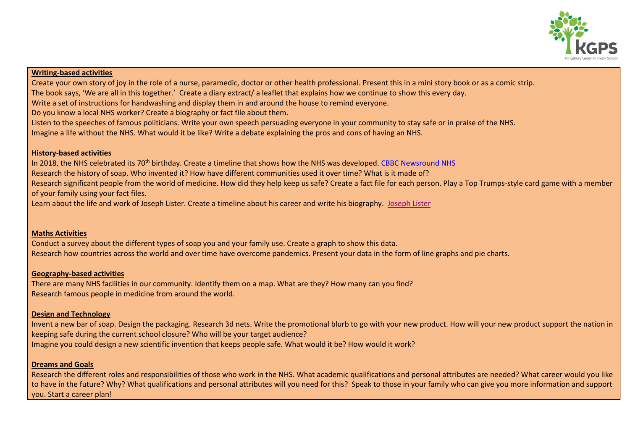

#### **Writing-based activities**

Create your own story of joy in the role of a nurse, paramedic, doctor or other health professional. Present this in a mini story book or as a comic strip. The book says, 'We are all in this together.' Create a diary extract/ a leaflet that explains how we continue to show this every day. Write a set of instructions for handwashing and display them in and around the house to remind everyone. Do you know a local NHS worker? Create a biography or fact file about them. Listen to the speeches of famous politicians. Write your own speech persuading everyone in your community to stay safe or in praise of the NHS. Imagine a life without the NHS. What would it be like? Write a debate explaining the pros and cons of having an NHS.

### **History-based activities**

In 2018, the NHS celebrated its 70<sup>th</sup> birthday. Create a timeline that shows how the NHS was developed. [CBBC Newsround NHS](https://www.bbc.co.uk/newsround/38906932) Research the history of soap. Who invented it? How have different communities used it over time? What is it made of? Research significant people from the world of medicine. How did they help keep us safe? Create a fact file for each person. Play a Top Trumps-style card game with a member of your family using your fact files.

Learn about the life and work of Joseph Lister. Create a timeline about his career and write his biography. [Joseph Lister](https://www.bbc.co.uk/bitesize/topics/zxwxvcw/articles/zkpdrj6)

## **Maths Activities**

Conduct a survey about the different types of soap you and your family use. Create a graph to show this data. Research how countries across the world and over time have overcome pandemics. Present your data in the form of line graphs and pie charts.

## **Geography-based activities**

There are many NHS facilities in our community. Identify them on a map. What are they? How many can you find? Research famous people in medicine from around the world.

## **Design and Technology**

Invent a new bar of soap. Design the packaging. Research 3d nets. Write the promotional blurb to go with your new product. How will your new product support the nation in keeping safe during the current school closure? Who will be your target audience? Imagine you could design a new scientific invention that keeps people safe. What would it be? How would it work?

#### **Dreams and Goals**

Research the different roles and responsibilities of those who work in the NHS. What academic qualifications and personal attributes are needed? What career would you like to have in the future? Why? What qualifications and personal attributes will you need for this? Speak to those in your family who can give you more information and support you. Start a career plan!